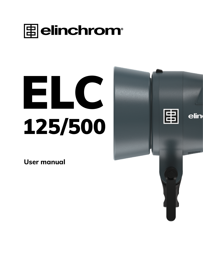

# ELC 125/500

**User manual**

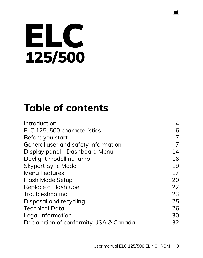# ELC  $125/500$

### **Table of contents**

| 4  |
|----|
| 6  |
| 7  |
| 7  |
| 14 |
| 16 |
| 19 |
| 17 |
| 20 |
| 22 |
| 23 |
| 25 |
| 26 |
| 30 |
| 32 |
|    |

圕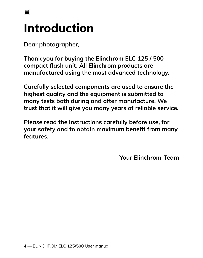

## **Introduction**

**Dear photographer,**

**Thank you for buying the Elinchrom ELC 125 / 500 compact flash unit. All Elinchrom products are manufactured using the most advanced technology.** 

**Carefully selected components are used to ensure the highest quality and the equipment is submitted to many tests both during and after manufacture. We trust that it will give you many years of reliable service.**

**Please read the instructions carefully before use, for your safety and to obtain maximum benefit from many features.**

**Your Elinchrom-Team**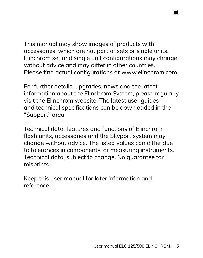This manual may show images of products with accessories, which are not part of sets or single units. Elinchrom set and single unit configurations may change without advice and may differ in other countries. Please find actual configurations at www.elinchrom.com

庸

For further details, upgrades, news and the latest information about the Elinchrom System, please regularly visit the Elinchrom website. The latest user guides and technical specifications can be downloaded in the "Support" area.

Technical data, features and functions of Elinchrom flash units, accessories and the Skyport system may change without advice. The listed values can differ due to tolerances in components, or measuring instruments. Technical data, subject to change. No guarantee for misprints.

Keep this user manual for later information and reference.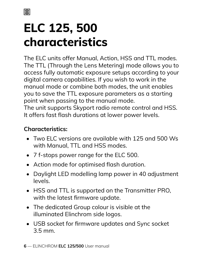# **ELC 125, 500 characteristics**

The ELC units offer Manual, Action, HSS and TTL modes. The TTL (Through the Lens Metering) mode allows you to access fully automatic exposure setups according to your digital camera capabilities. If you wish to work in the manual mode or combine both modes, the unit enables you to save the TTL exposure parameters as a starting point when passing to the manual mode. The unit supports Skyport radio remote control and HSS.

It offers fast flash durations at lower power levels.

#### **Characteristics:**

- Two ELC versions are available with 125 and 500 Ws with Manual, TTL and HSS modes.
- 7 f-stops power range for the ELC 500.
- Action mode for optimised flash duration.
- Daylight LED modelling lamp power in 40 adjustment levels.
- HSS and TTL is supported on the Transmitter PRO, with the latest firmware update.
- The dedicated Group colour is visible at the illuminated Elinchrom side logos.
- USB socket for firmware updates and Sync socket 3.5 mm.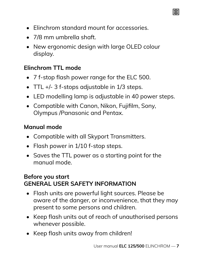- Elinchrom standard mount for accessories.
- 7/8 mm umbrella shaft
- New ergonomic design with large OLED colour display.

#### **Elinchrom TTL mode**

- 7 f-stop flash power range for the ELC 500.
- TTL +/- 3 f-stops adjustable in 1/3 steps.
- LED modelling lamp is adjustable in 40 power steps.
- Compatible with Canon, Nikon, Fujifilm, Sony, Olympus /Panasonic and Pentax.

#### **Manual mode**

- Compatible with all Skyport Transmitters.
- Flash power in 1/10 f-stop steps.
- Saves the TTL power as a starting point for the manual mode.

#### **Before you start GENERAL USER SAFETY INFORMATION**

- Flash units are powerful light sources. Please be aware of the danger, or inconvenience, that they may present to some persons and children.
- Keep flash units out of reach of unauthorised persons whenever possible.
- Keep flash units away from children!

圕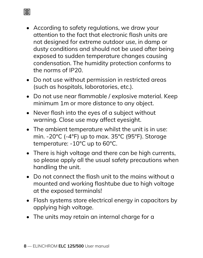• According to safety regulations, we draw your attention to the fact that electronic flash units are not designed for extreme outdoor use, in damp or dusty conditions and should not be used after being exposed to sudden temperature changes causing condensation. The humidity protection conforms to the norms of IP20.

圕

- Do not use without permission in restricted areas (such as hospitals, laboratories, etc.).
- Do not use near flammable / explosive material. Keep minimum 1m or more distance to any object.
- Never flash into the eyes of a subject without warning. Close use may affect eyesight.
- The ambient temperature whilst the unit is in use: min. -20°C (-4°F) up to max. 35°C (95°F). Storage temperature: -10°C up to 60°C.
- There is high voltage and there can be high currents, so please apply all the usual safety precautions when handling the unit.
- Do not connect the flash unit to the mains without a mounted and working flashtube due to high voltage at the exposed terminals!
- Flash systems store electrical energy in capacitors by applying high voltage.
- The units may retain an internal charge for a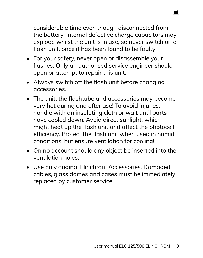considerable time even though disconnected from the battery. Internal defective charge capacitors may explode whilst the unit is in use, so never switch on a flash unit, once it has been found to be faulty.

庸

- For your safety, never open or disassemble your flashes. Only an authorised service engineer should open or attempt to repair this unit.
- Always switch off the flash unit before changing accessories.
- The unit, the flashtube and accessories may become very hot during and after use! To avoid injuries, handle with an insulating cloth or wait until parts have cooled down. Avoid direct sunlight, which might heat up the flash unit and affect the photocell efficiency. Protect the flash unit when used in humid conditions, but ensure ventilation for cooling!
- On no account should any object be inserted into the ventilation holes.
- Use only original Elinchrom Accessories. Damaged cables, glass domes and cases must be immediately replaced by customer service.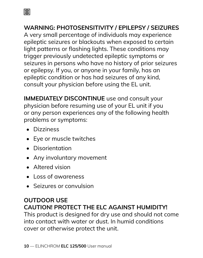

#### **WARNING: PHOTOSENSITIVITY / EPILEPSY / SEIZURES**

A very small percentage of individuals may experience epileptic seizures or blackouts when exposed to certain light patterns or flashing lights. These conditions may trigger previously undetected epileptic symptoms or seizures in persons who have no history of prior seizures or epilepsy. If you, or anyone in your family, has an epileptic condition or has had seizures of any kind, consult your physician before using the EL unit.

**IMMEDIATELY DISCONTINUE** use and consult your physician before resuming use of your EL unit if you or any person experiences any of the following health problems or symptoms:

- Dizziness
- Eye or muscle twitches
- Disorientation
- Any involuntary movement
- Altered vision
- Loss of awareness
- Seizures or convulsion

#### **OUTDOOR USE CAUTION! PROTECT THE ELC AGAINST HUMIDITY!**

This product is designed for dry use and should not come into contact with water or dust. In humid conditions cover or otherwise protect the unit.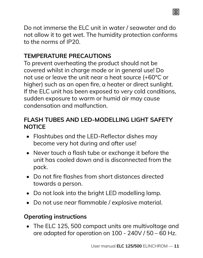

Do not immerse the ELC unit in water / seawater and do not allow it to get wet. The humidity protection conforms to the norms of IP20.

#### **TEMPERATURE PRECAUTIONS**

To prevent overheating the product should not be covered whilst in charge mode or in general use! Do not use or leave the unit near a heat source (+60°C or higher) such as an open fire, a heater or direct sunlight. If the ELC unit has been exposed to very cold conditions, sudden exposure to warm or humid air may cause condensation and malfunction.

#### **FLASH TUBES AND LED-MODELLING LIGHT SAFETY NOTICE**

- Flashtubes and the LED-Reflector dishes may become very hot during and after use!
- Never touch a flash tube or exchange it before the unit has cooled down and is disconnected from the pack.
- Do not fire flashes from short distances directed towards a person.
- Do not look into the bright LED modelling lamp.
- Do not use near flammable / explosive material.

#### **Operating instructions**

• The ELC 125, 500 compact units are multivoltage and are adapted for operation on 100 - 240V / 50 – 60 Hz.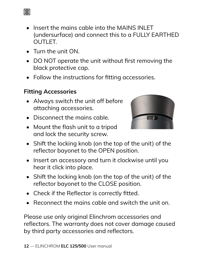- Insert the mains cable into the MAINS INLET (undersurface) and connect this to a FULLY EARTHED OUTLET.
- Turn the unit ON.
- DO NOT operate the unit without first removing the black protective cap.
- Follow the instructions for fitting accessories.

#### **Fitting Accessories**

- Always switch the unit off before attaching accessories.
- Disconnect the mains cable.
- Mount the flash unit to a tripod and lock the security screw.
- Shift the locking knob (on the top of the unit) of the reflector bayonet to the OPEN position.
- Insert an accessory and turn it clockwise until you hear it click into place.
- Shift the locking knob (on the top of the unit) of the reflector bayonet to the CLOSE position.
- Check if the Reflector is correctly fitted.
- Reconnect the mains cable and switch the unit on.

Please use only original Elinchrom accessories and reflectors. The warranty does not cover damage caused by third party accessories and reflectors.

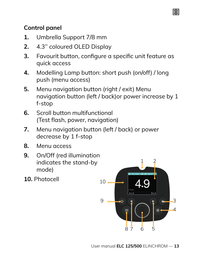#### **Control panel**

- **1.** Umbrella Support 7/8 mm
- **2.** 4.3'' coloured OLED Display
- **3.** Favourit button, configure a specific unit feature as quick access
- **4.** Modelling Lamp button: short push (on/off) / long push (menu access)
- **5.** Menu navigation button (right / exit) Menu navigation button (left / back)or power increase by 1 f-stop
- **6.** Scroll button multifunctional (Test flash, power, navigation)
- **7.** Menu navigation button (left / back) or power decrease by 1 f-stop
- **8.** Menu access
- **9.** On/Off (red illumination indicates the stand-by mode)
- **10.** Photocell



圕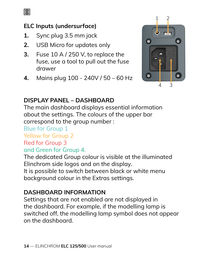

#### **ELC Inputs (undersurface)**

- **1.** Sync plug 3.5 mm jack
- **2.** USB Micro for updates only
- **3.** Fuse 10 A / 250 V, to replace the fuse, use a tool to pull out the fuse drawer
- **4.** Mains plug 100 240V / 50 60 Hz



#### **DISPLAY PANEL – DASHBOARD**

The main dashboard displays essential information about the settings. The colours of the upper bar correspond to the group number :

Blue for Group 1

Yellow for Group 2

#### Red for Group 3

#### and Green for Group 4.

The dedicated Group colour is visible at the illuminated Elinchrom side logos and on the display.

It is possible to switch between black or white menu background colour in the Extras settings.

#### **DASHBOARD INFORMATION**

Settings that are not enabled are not displayed in the dashboard. For example, if the modelling lamp is switched off, the modelling lamp symbol does not appear on the dashboard.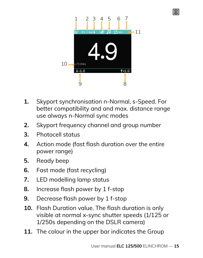

庸

- **1.** Skyport synchronisation n-Normal, s-Speed. For better compatibility and and max. distance range use always n-Normal sync modes
- **2.** Skyport frequency channel and group number
- **3.** Photocell status
- **4.** Action mode (fast flash duration over the entire power range)
- **5.** Ready beep
- **6.** Fast mode (fast recycling)
- **7.** LED modelling lamp status
- **8.** Increase flash power by 1 f-stop
- **9.** Decrease flash power by 1 f-stop
- **10.** Flash Duration value. The flash duration is only visible at normal x-sync shutter speeds (1/125 or 1/250s depending on the DSLR camera)
- **11.** The colour in the upper bar indicates the Group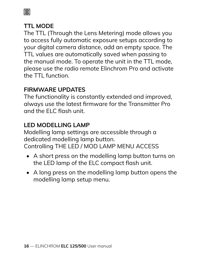圕

#### **TTL MODE**

The TTL (Through the Lens Metering) mode allows you to access fully automatic exposure setups according to your digital camera distance, add an empty space. The TTL values are automatically saved when passing to the manual mode. To operate the unit in the TTL mode, please use the radio remote Elinchrom Pro and activate the TTL function.

#### **FIRMWARE UPDATES**

The functionality is constantly extended and improved, always use the latest firmware for the Transmitter Pro and the ELC flash unit.

#### **LED MODELLING LAMP**

Modelling lamp settings are accessible through a dedicated modelling lamp button. Controlling THE LED / MOD LAMP MENU ACCESS

- A short press on the modelling lamp button turns on the LED lamp of the ELC compact flash unit.
- A long press on the modelling lamp button opens the modelling lamp setup menu.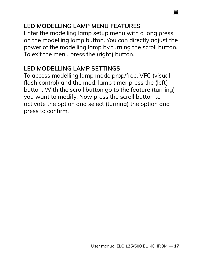#### **LED MODELLING LAMP MENU FEATURES**

Enter the modelling lamp setup menu with a long press on the modelling lamp button. You can directly adjust the power of the modelling lamp by turning the scroll button. To exit the menu press the (right) button.

庸

#### **LED MODELLING LAMP SETTINGS**

To access modelling lamp mode prop/free, VFC (visual flash control) and the mod. lamp timer press the (left) button. With the scroll button go to the feature (turning) you want to modify. Now press the scroll button to activate the option and select (turning) the option and press to confirm.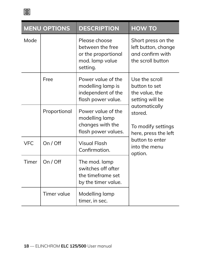

|            | <b>MENU OPTIONS</b> | <b>DESCRIPTION</b>                                                                      | <b>HOW TO</b>                                                                      |
|------------|---------------------|-----------------------------------------------------------------------------------------|------------------------------------------------------------------------------------|
| Mode       |                     | Please choose<br>between the free<br>or the proportional<br>mod. lamp value<br>setting. | Short press on the<br>left button, change<br>and confirm with<br>the scroll button |
|            | Free                | Power value of the<br>modelling lamp is<br>independent of the<br>flash power value.     | Use the scroll<br>button to set<br>the value, the<br>setting will be               |
|            | Proportional        | Power value of the<br>modelling lamp<br>changes with the<br>flash power values.         | automatically<br>stored<br>To modify settings<br>here, press the left              |
| <b>VFC</b> | On / Off            | Visual Flash<br>Confirmation.                                                           | button to enter<br>into the menu<br>option.                                        |
| Timer      | On / Off            | The mod. lamp<br>switches off after<br>the timeframe set<br>by the timer value.         |                                                                                    |
|            | Timer value         | Modelling lamp<br>timer, in sec.                                                        |                                                                                    |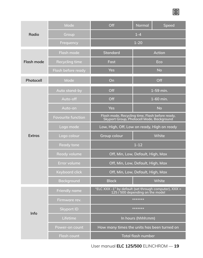|               | Mode                      | Off                                                                                          | Normal                    | Speed     |
|---------------|---------------------------|----------------------------------------------------------------------------------------------|---------------------------|-----------|
| Radio         | Group                     |                                                                                              | $1 - 4$                   |           |
|               | Frequency                 |                                                                                              | $1 - 20$                  |           |
|               | Flash mode                | Standard                                                                                     |                           | Action    |
| Flash mode    | Recycling time            | Fast                                                                                         |                           | Eco       |
|               | Flash before ready        | Yes                                                                                          |                           | <b>No</b> |
| Photocell     | Mode                      | On                                                                                           |                           | Off       |
|               | Auto stand-by             | Off                                                                                          |                           | 1-59 min. |
|               | Auto-off                  | Off                                                                                          |                           | 1-60 min. |
|               | Auto-on                   | Yes                                                                                          |                           | No        |
|               | <b>Favourite function</b> | Flash mode, Recycling time, Flash before ready,<br>Skyport Group, Photocell Mode, Background |                           |           |
|               | Logo mode                 | Low, High, Off, Low on ready, High on ready                                                  |                           |           |
| <b>Extras</b> | Logo colour               | Group colour                                                                                 |                           | White     |
|               | <b>Ready tone</b>         |                                                                                              | $1 - 12$                  |           |
|               | Ready volume              | Off, Min, Low, Default, High, Max                                                            |                           |           |
|               | Error volume              | Off, Min, Low, Default, High, Max                                                            |                           |           |
|               | Keyboard click            | Off, Min, Low, Default, High, Max                                                            |                           |           |
|               | Background                | <b>Black</b>                                                                                 |                           | White     |
|               | Friendly name             | "ELC XXX -1" by default (set through computer), XXX =<br>125 / 500 depending on the model    |                           |           |
|               | Firmware rev.             | *******                                                                                      |                           |           |
| Info          | <b>Skyport ID</b>         | *******                                                                                      |                           |           |
|               | Lifetime                  |                                                                                              | In hours (hhhh:mm)        |           |
|               | Power-on count            | How many times the units has been turned on                                                  |                           |           |
|               | Flash count               |                                                                                              | <b>Total flash number</b> |           |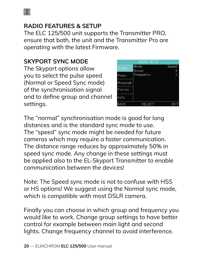圕

#### **RADIO FEATURES & SETUP**

The ELC 125/500 unit supports the Transmitter PRO, ensure that both, the unit and the Transmitter Pro are operating with the latest Firmware.

#### **SKYPORT SYNC MODE**

The Skyport options allow you to select the pulse speed (Normal or Speed Sync mode) of the synchronisation signal and to define group and channel settings.



The "normal" synchronisation mode is good for long distances and is the standard sync mode to use. The "speed" sync mode might be needed for future cameras which may require a faster communication. The distance range reduces by approximately 50% in speed sync mode. Any change in these settings must be applied also to the EL-Skyport Transmitter to enable communication between the devices!

Note: The Speed sync mode is not to confuse with HSS or HS options! We suggest using the Normal sync mode, which is compatible with most DSLR camera.

Finally you can choose in which group and frequency you would like to work. Change group settings to have better control for example between main light and second lights. Change frequency channel to avoid interference.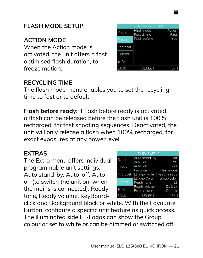

#### **FLASH MODE SETUP**

#### **ACTION MODE**

When the Action mode is activated, the unit offers a fast optimised flash duration, to freeze motion.

|           | <b>FLASH MODE SETUP</b> |        |
|-----------|-------------------------|--------|
| Radio     | Flash mode              | Action |
|           | Recycl. Line            | East   |
| Flash     | Flash before            | Yes    |
| Photocell |                         |        |
| Extras    |                         |        |
| Info      |                         |        |
|           | SELEC                   |        |

#### **RECYCLING TIME**

The flash mode menu enables you to set the recycling time to fast or to default.

**Flash before ready:** If flash before ready is activated, a flash can be released before the flash unit is 100% recharged, for fast shooting sequences. Deactivated, the unit will only release a flash when 100% recharged, for exact exposures at any power level.

#### **EXTRAS**

The Extra menu offers individual programmable unit settings: Auto stand-by, Auto-off, Autoon (to switch the unit on, when the mains is connected), Ready tone, Ready volume, KeyBoard-

| <b>EXTRAS SETUP</b> |                            |                   |
|---------------------|----------------------------|-------------------|
| Radio               | Auto stand-by              | off               |
|                     | Auto-off                   | 59                |
| Flash               | Auto-on                    | Yes               |
|                     | Favorite-K                 | <b>Flash mode</b> |
| Photocell           | EL logo mode High on ready |                   |
|                     | EL logo Color              | Group color       |
| Extras              | Ready tone                 | 12                |
|                     | Ready volume               | DeMax             |
| Info                | Error volume               | Default           |
|                     | <b>SELECT</b>              | <b>FXI</b>        |

click and Background black or white. With the Favourite Button, configure a specific unit feature as quick access. The illuminated side EL-Logos can show the Group colour or set to white or can be dimmed or switched off.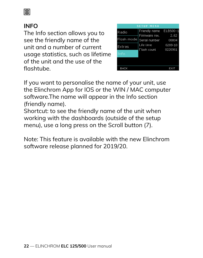#### 圕

#### **INFO**

The Info section allows you to see the friendly name of the unit and a number of current usage statistics, such as lifetime of the unit and the use of the flashtube.



If you want to personalise the name of your unit, use the Elinchrom App for IOS or the WIN / MAC computer software.The name will appear in the Info section (friendly name).

Shortcut: to see the friendly name of the unit when working with the dashboards (outside of the setup menu), use a long press on the Scroll button (7).

Note: This feature is available with the new Elinchrom software release planned for 2019/20.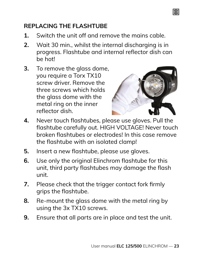#### **REPLACING THE FLASHTUBE**

- **1.** Switch the unit off and remove the mains cable.
- **2.** Wait 30 min., whilst the internal discharging is in progress. Flashtube and internal reflector dish can be hot!
- **3.** To remove the glass dome, you require a Torx TX10 screw driver. Remove the three screws which holds the glass dome with the metal ring on the inner reflector dish.



圕

- **4.** Never touch flashtubes, please use gloves. Pull the flashtube carefully out. HIGH VOLTAGE! Never touch broken flashtubes or electrodes! In this case remove the flashtube with an isolated clamp!
- **5.** Insert a new flashtube, please use gloves.
- **6.** Use only the original Elinchrom flashtube for this unit, third party flashtubes may damage the flash unit.
- **7.** Please check that the trigger contact fork firmly grips the flashtube.
- **8.** Re-mount the glass dome with the metal ring by using the 3x TX10 screws.
- **9.** Ensure that all parts are in place and test the unit.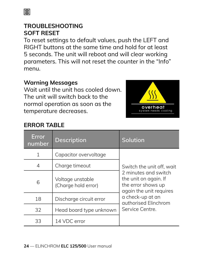#### **ERROR TABLE**

| Error<br>number | <b>Description</b>                      | Solution                                                                                       |
|-----------------|-----------------------------------------|------------------------------------------------------------------------------------------------|
| 1               | Capacitor overvoltage                   |                                                                                                |
| 4               | Charge timeout                          | Switch the unit off, wait                                                                      |
| 6               | Voltage unstable<br>(Charge hold error) | 2 minutes and switch<br>the unit on again. If<br>the error shows up<br>again the unit requires |
| 18              | Discharge circuit error                 | a check-up at an<br>authorised Flinchrom                                                       |
| 32              | Head board type unknown                 | Service Centre.                                                                                |
| 33              | 14 VDC error                            |                                                                                                |

To reset settings to default values, push the LEFT and RIGHT buttons at the same time and hold for at least 5 seconds. The unit will reboot and will clear working parameters. This will not reset the counter in the "Info" menu.

#### **TROUBLESHOOTING SOFT RESET**

**Warning Messages**

Wait until the unit has cooled down. The unit will switch back to the normal operation as soon as the temperature decreases.

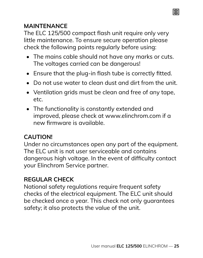#### **MAINTENANCE**

The ELC 125/500 compact flash unit require only very little maintenance. To ensure secure operation please check the following points regularly before using:

• The mains cable should not have any marks or cuts. The voltages carried can be dangerous!

庸

- Ensure that the plug-in flash tube is correctly fitted.
- Do not use water to clean dust and dirt from the unit.
- Ventilation arids must be clean and free of any tape. etc.
- The functionality is constantly extended and improved, please check at www.elinchrom.com if a new firmware is available.

#### **CAUTION!**

Under no circumstances open any part of the equipment. The ELC unit is not user serviceable and contains dangerous high voltage. In the event of difficulty contact your Elinchrom Service partner.

#### **REGULAR CHECK**

National safety regulations require frequent safety checks of the electrical equipment. The ELC unit should be checked once a year. This check not only guarantees safety; it also protects the value of the unit.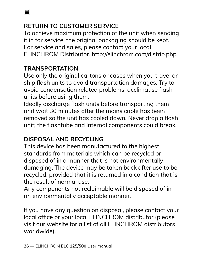

#### **RETURN TO CUSTOMER SERVICE**

To achieve maximum protection of the unit when sending it in for service, the original packaging should be kept. For service and sales, please contact your local ELINCHROM Distributor. http://elinchrom.com/distrib.php

#### **TRANSPORTATION**

Use only the original cartons or cases when you travel or ship flash units to avoid transportation damages. Try to avoid condensation related problems, acclimatise flash units before using them.

Ideally discharge flash units before transporting them and wait 30 minutes after the mains cable has been removed so the unit has cooled down. Never drop a flash unit; the flashtube and internal components could break.

#### **DISPOSAL AND RECYCLING**

This device has been manufactured to the highest standards from materials which can be recycled or disposed of in a manner that is not environmentally damaging. The device may be taken back after use to be recycled, provided that it is returned in a condition that is the result of normal use.

Any components not reclaimable will be disposed of in an environmentally acceptable manner.

If you have any question on disposal, please contact your local office or your local ELINCHROM distributor (please visit our website for a list of all ELINCHROM distributors worldwide).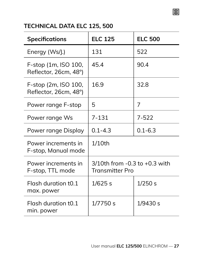#### 圕

#### **TECHNICAL DATA ELC 125, 500**

| <b>Specifications</b>                         | <b>ELC 125</b>                                          | <b>ELC 500</b> |
|-----------------------------------------------|---------------------------------------------------------|----------------|
| Energy (Ws/J.)                                | 131                                                     | 522            |
| F-stop (1m, ISO 100,<br>Reflector, 26cm, 48°) | 454                                                     | 90.4           |
| F-stop (2m, ISO 100,<br>Reflector, 26cm, 48°) | 169                                                     | 32.8           |
| Power range F-stop                            | 5                                                       | 7              |
| Power range Ws                                | $7 - 131$                                               | 7-522          |
| Power range Display                           | $0.1 - 4.3$                                             | $0.1 - 6.3$    |
| Power increments in<br>F-stop, Manual mode    | $1/10$ th                                               |                |
| Power increments in<br>F-stop, TTL mode       | $3/10$ th from $-0.3$ to $+0.3$ with<br>Transmitter Pro |                |
| Flash duration t0.1<br>max. power             | $1/625$ s                                               | 1/250 s        |
| Flash duration t0.1<br>min. power             | 1/7750 s                                                | 1/9430 s       |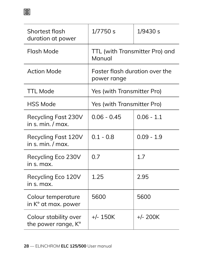| Shortest flash<br>duration at power          | 1/7750 s                                      | 1/9430 s     |
|----------------------------------------------|-----------------------------------------------|--------------|
| Flash Mode                                   | TTL (with Transmitter Pro) and<br>Manual      |              |
| <b>Action Mode</b>                           | Faster flash duration over the<br>power range |              |
| <b>TTL Mode</b>                              | Yes (with Transmitter Pro)                    |              |
| <b>HSS Mode</b>                              | Yes (with Transmitter Pro)                    |              |
| Recycling Fast 230V<br>in s. min. / max.     | $0.06 - 0.45$                                 | $0.06 - 1.1$ |
| Recycling Fast 120V<br>$in s$ min $/max$     | $0.1 - 0.8$                                   | $0.09 - 1.9$ |
| Recycling Eco 230V<br>in s. max.             | 0.7                                           | 17           |
| Recycling Eco 120V<br>in s. max.             | 1.25                                          | 2.95         |
| Colour temperature<br>in K° at max. power    | 5600                                          | 5600         |
| Colour stability over<br>the power range, K° | $+/- 150K$                                    | $+/- 200K$   |

圍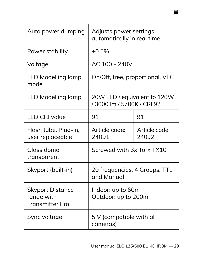| Auto power dumping                                              | Adjusts power settings<br>automatically in real time      |                        |
|-----------------------------------------------------------------|-----------------------------------------------------------|------------------------|
| Power stability                                                 | ±0.5%                                                     |                        |
| Voltage                                                         | AC 100 - 240V                                             |                        |
| LED Modelling lamp<br>mode                                      | On/Off, free, proportional, VFC                           |                        |
| <b>LED Modelling lamp</b>                                       | 20W LED / equivalent to 120W<br>/3000 lm / 5700K / CRI 92 |                        |
| <b>LED CRI value</b>                                            | 91                                                        | 91                     |
| Flash tube, Plug-in,<br>user replaceable                        | Article code:<br>24091                                    | Article code:<br>24092 |
| Glass dome<br>transparent                                       | Screwed with 3x Torx TX10                                 |                        |
| Skyport (built-in)                                              | 20 frequencies, 4 Groups, TTL<br>and Manual               |                        |
| <b>Skyport Distance</b><br>range with<br><b>Transmitter Pro</b> | Indoor: up to 60m<br>Outdoor: up to 200m                  |                        |
| Sync voltage                                                    | 5 V (compatible with all<br>cameras)                      |                        |

圍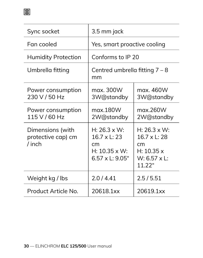| Sync socket                                      | 3.5 mm jack                                                                                       |                                                                                          |
|--------------------------------------------------|---------------------------------------------------------------------------------------------------|------------------------------------------------------------------------------------------|
| Fan cooled                                       | Yes, smart proactive cooling                                                                      |                                                                                          |
| <b>Humidity Protection</b>                       | Conforms to IP 20                                                                                 |                                                                                          |
| Umbrella fitting                                 | Centred umbrella fitting $7 - 8$<br>mm                                                            |                                                                                          |
| Power consumption<br>230 V / 50 Hz               | max. 300W<br>3W@standby                                                                           | max. 460W<br>3W@standby                                                                  |
| Power consumption<br>115 V / 60 Hz               | mgx 180W<br>2W@standby                                                                            | max.260W<br>2W@standby                                                                   |
| Dimensions (with<br>protective cap) cm<br>/ inch | $H: 26.3 \times W:$<br>$16.7 \times 1:23$<br>cm<br>$H: 10.35 \times W:$<br>$6.57 \times 1:9.05$ " | $H: 26.3 \times W:$<br>16.7 x L: 28<br>cm<br>H: 10.35 x<br>$W: 6.57 \times L:$<br>11.22" |
| Weight kg / lbs                                  | 2.0/4.41                                                                                          | 2.5/5.51                                                                                 |
| Product Article No.                              | 20618.1xx                                                                                         | 20619.1xx                                                                                |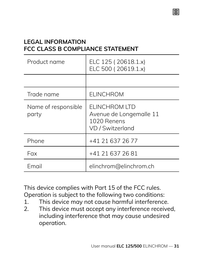#### **LEGAL INFORMATION FCC CLASS B COMPLIANCE STATEMENT**

| Product name                 | ELC 125 (20618.1.x)<br>ELC 500 (20619.1.x)                                   |
|------------------------------|------------------------------------------------------------------------------|
|                              |                                                                              |
| Trade name                   | FI INCHROM                                                                   |
| Name of responsible<br>party | FI INCHROM ITD<br>Avenue de Longemalle 11<br>1020 Renens<br>VD / Switzerland |
| Phone                        | +41 21 637 26 77                                                             |
| Fax                          | +41 21 637 26 81                                                             |
| Email                        | elinchrom@elinchrom.ch                                                       |

This device complies with Part 15 of the FCC rules. Operation is subject to the following two conditions:<br>1 This device may not cause barmful interference

- 1. This device may not cause harmful interference.<br>2. This device must accent any interference receive
- This device must accept any interference received, including interference that may cause undesired operation.

庸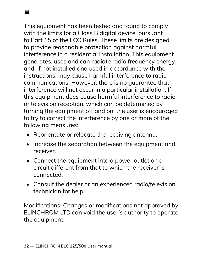圕

This equipment has been tested and found to comply with the limits for a Class B digital device, pursuant to Part 15 of the FCC Rules. These limits are designed to provide reasonable protection against harmful interference in a residential installation. This equipment generates, uses and can radiate radio frequency energy and, if not installed and used in accordance with the instructions, may cause harmful interference to radio communications. However, there is no guarantee that interference will not occur in a particular installation. If this equipment does cause harmful interference to radio or television reception, which can be determined by turning the equipment off and on, the user is encouraged to try to correct the interference by one or more of the following measures:

- Reorientate or relocate the receiving antenna.
- Increase the separation between the equipment and receiver.
- Connect the equipment into a power outlet on a circuit different from that to which the receiver is connected.
- Consult the dealer or an experienced radio/television technician for help.

Modifications: Changes or modifications not approved by ELINCHROM LTD can void the user's authority to operate the equipment.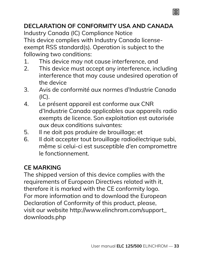#### **DECLARATION OF CONFORMITY USA AND CANADA**

庸

Industry Canada (IC) Compliance Notice This device complies with Industry Canada licenseexempt RSS standard(s). Operation is subject to the following two conditions:

- 1. This device may not cause interference, and<br>2. This device must accept any interference, inc
- This device must accept any interference, including interference that may cause undesired operation of the device
- 3. Avis de conformité aux normes d'Industrie Canada  $I(C)$ .
- 4. Le présent appareil est conforme aux CNR d'Industrie Canada applicables aux appareils radio exempts de licence. Son exploitation est autorisée aux deux conditions suivantes:
- 5. Il ne doit pas produire de brouillage; et<br>6. Il doit accepter tout brouillage radioéle
- Il doit accepter tout brouillage radioélectrique subi, même si celui-ci est susceptible d'en compromettre le fonctionnement.

#### **CE MARKING**

The shipped version of this device complies with the requirements of European Directives related with it, therefore it is marked with the CE conformity logo. For more information and to download the European Declaration of Conformity of this product, please, visit our website http://www.elinchrom.com/support\_ downloads.php